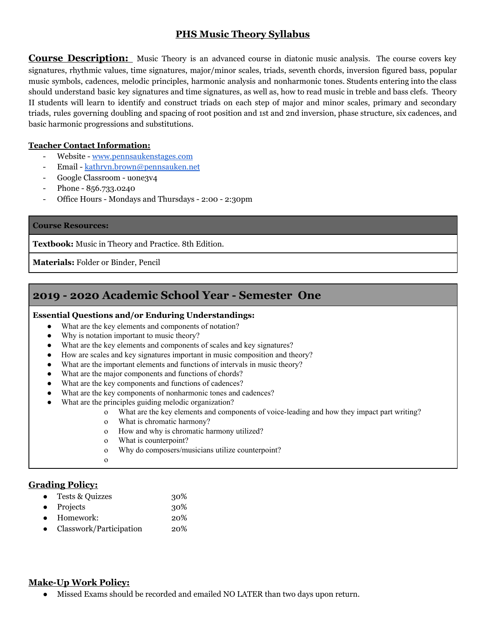## **PHS Music Theory Syllabus**

**Course Description:** Music Theory is an advanced course in diatonic music analysis. The course covers key signatures, rhythmic values, time signatures, major/minor scales, triads, seventh chords, inversion figured bass, popular music symbols, cadences, melodic principles, harmonic analysis and nonharmonic tones. Students entering into the class should understand basic key signatures and time signatures, as well as, how to read music in treble and bass clefs. Theory II students will learn to identify and construct triads on each step of major and minor scales, primary and secondary triads, rules governing doubling and spacing of root position and 1st and 2nd inversion, phase structure, six cadences, and basic harmonic progressions and substitutions.

#### **Teacher Contact Information:**

- Website [www.pennsaukenstages.com](http://www.pennsaukenstages.com/)
- Email [kathryn.brown@pennsauken.net](mailto:kathryn.brown@pennsauken.net)
- Google Classroom uone3v4
- Phone 856.733.0240
- Office Hours Mondays and Thursdays 2:00 2:30pm

#### **Course Resources:**

**Textbook:** Music in Theory and Practice. 8th Edition.

**Materials:** Folder or Binder, Pencil

# **2019 - 2020 Academic School Year - Semester One**

#### **Essential Questions and/or Enduring Understandings:**

- What are the key elements and components of notation?
- Why is notation important to music theory?
- What are the key elements and components of scales and key signatures?
- How are scales and key signatures important in music composition and theory?
- What are the important elements and functions of intervals in music theory?
- What are the major components and functions of chords?
- What are the key components and functions of cadences?
- What are the key components of nonharmonic tones and cadences?
- What are the principles guiding melodic organization?
	- o What are the key elements and components of voice-leading and how they impact part writing?
	- o What is chromatic harmony?
	- o How and why is chromatic harmony utilized?
	- o What is counterpoint?
	- o Why do composers/musicians utilize counterpoint?
	- o

## **Grading Policy:**

- Tests & Quizzes 30%
- Projects 30%
- Homework: 20%
- Classwork/Participation 20%

## **Make-Up Work Policy:**

Missed Exams should be recorded and emailed NO LATER than two days upon return.